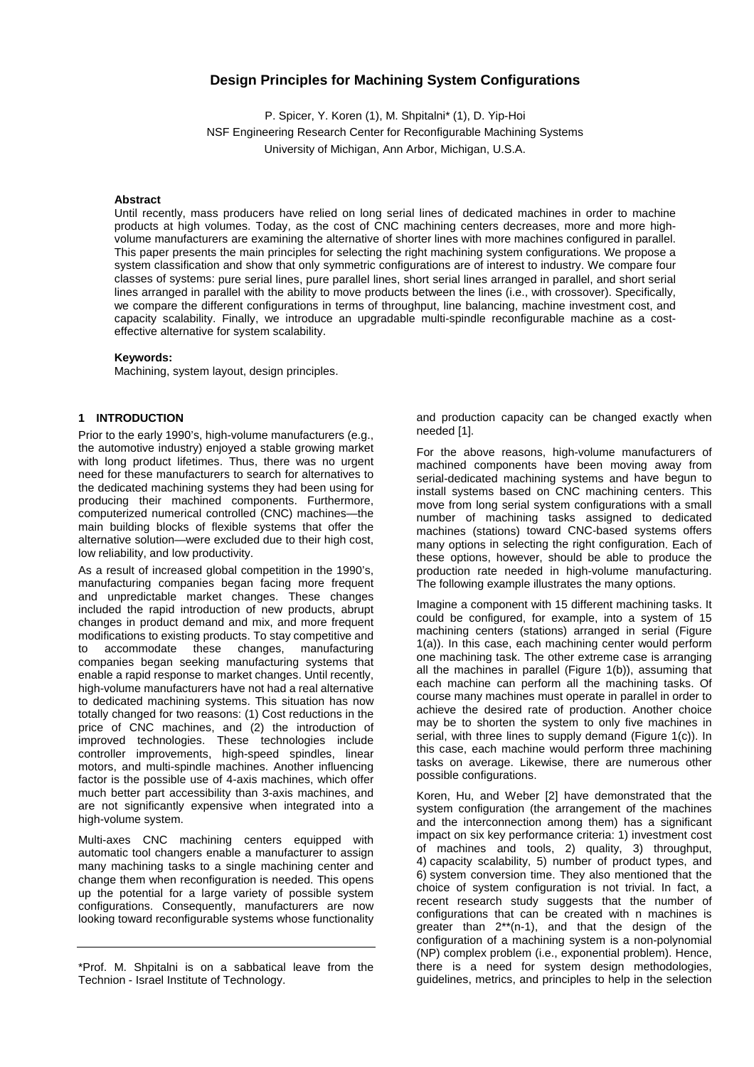# **Design Principles for Machining System Configurations**

P. Spicer, Y. Koren (1), M. Shpitalni\* (1), D. Yip-Hoi NSF Engineering Research Center for Reconfigurable Machining Systems University of Michigan, Ann Arbor, Michigan, U.S.A.

#### **Abstract**

Until recently, mass producers have relied on long serial lines of dedicated machines in order to machine products at high volumes. Today, as the cost of CNC machining centers decreases, more and more highvolume manufacturers are examining the alternative of shorter lines with more machines configured in parallel. This paper presents the main principles for selecting the right machining system configurations. We propose a system classification and show that only symmetric configurations are of interest to industry. We compare four classes of systems: pure serial lines, pure parallel lines, short serial lines arranged in parallel, and short serial lines arranged in parallel with the ability to move products between the lines (i.e., with crossover). Specifically, we compare the different configurations in terms of throughput, line balancing, machine investment cost, and capacity scalability. Finally, we introduce an upgradable multi-spindle reconfigurable machine as a costeffective alternative for system scalability.

## **Keywords:**

Machining, system layout, design principles.

## **1 INTRODUCTION**

Prior to the early 1990's, high-volume manufacturers (e.g., the automotive industry) enjoyed a stable growing market with long product lifetimes. Thus, there was no urgent need for these manufacturers to search for alternatives to the dedicated machining systems they had been using for producing their machined components. Furthermore, computerized numerical controlled (CNC) machines—the main building blocks of flexible systems that offer the alternative solution—were excluded due to their high cost, low reliability, and low productivity.

As a result of increased global competition in the 1990's, manufacturing companies began facing more frequent and unpredictable market changes. These changes included the rapid introduction of new products, abrupt changes in product demand and mix, and more frequent modifications to existing products. To stay competitive and to accommodate these changes, manufacturing companies began seeking manufacturing systems that enable a rapid response to market changes. Until recently, high-volume manufacturers have not had a real alternative to dedicated machining systems. This situation has now totally changed for two reasons: (1) Cost reductions in the price of CNC machines, and (2) the introduction of improved technologies. These technologies include controller improvements, high-speed spindles, linear motors, and multi-spindle machines. Another influencing factor is the possible use of 4-axis machines, which offer much better part accessibility than 3-axis machines, and are not significantly expensive when integrated into a high-volume system.

Multi-axes CNC machining centers equipped with automatic tool changers enable a manufacturer to assign many machining tasks to a single machining center and change them when reconfiguration is needed. This opens up the potential for a large variety of possible system configurations. Consequently, manufacturers are now looking toward reconfigurable systems whose functionality

and production capacity can be changed exactly when needed [1].

For the above reasons, high-volume manufacturers of machined components have been moving away from serial-dedicated machining systems and have begun to install systems based on CNC machining centers. This move from long serial system configurations with a small number of machining tasks assigned to dedicated machines (stations) toward CNC-based systems offers many options in selecting the right configuration. Each of these options, however, should be able to produce the production rate needed in high-volume manufacturing. The following example illustrates the many options.

Imagine a component with 15 different machining tasks. It could be configured, for example, into a system of 15 machining centers (stations) arranged in serial (Figure 1(a)). In this case, each machining center would perform one machining task. The other extreme case is arranging all the machines in parallel (Figure 1(b)), assuming that each machine can perform all the machining tasks. Of course many machines must operate in parallel in order to achieve the desired rate of production. Another choice may be to shorten the system to only five machines in serial, with three lines to supply demand (Figure 1(c)). In this case, each machine would perform three machining tasks on average. Likewise, there are numerous other possible configurations.

Koren, Hu, and Weber [2] have demonstrated that the system configuration (the arrangement of the machines and the interconnection among them) has a significant impact on six key performance criteria: 1) investment cost of machines and tools, 2) quality, 3) throughput, 4) capacity scalability, 5) number of product types, and 6) system conversion time. They also mentioned that the choice of system configuration is not trivial. In fact, a recent research study suggests that the number of configurations that can be created with n machines is greater than 2\*\*(n-1), and that the design of the configuration of a machining system is a non-polynomial (NP) complex problem (i.e., exponential problem). Hence, there is a need for system design methodologies, guidelines, metrics, and principles to help in the selection

<sup>\*</sup>Prof. M. Shpitalni is on a sabbatical leave from the Technion - Israel Institute of Technology.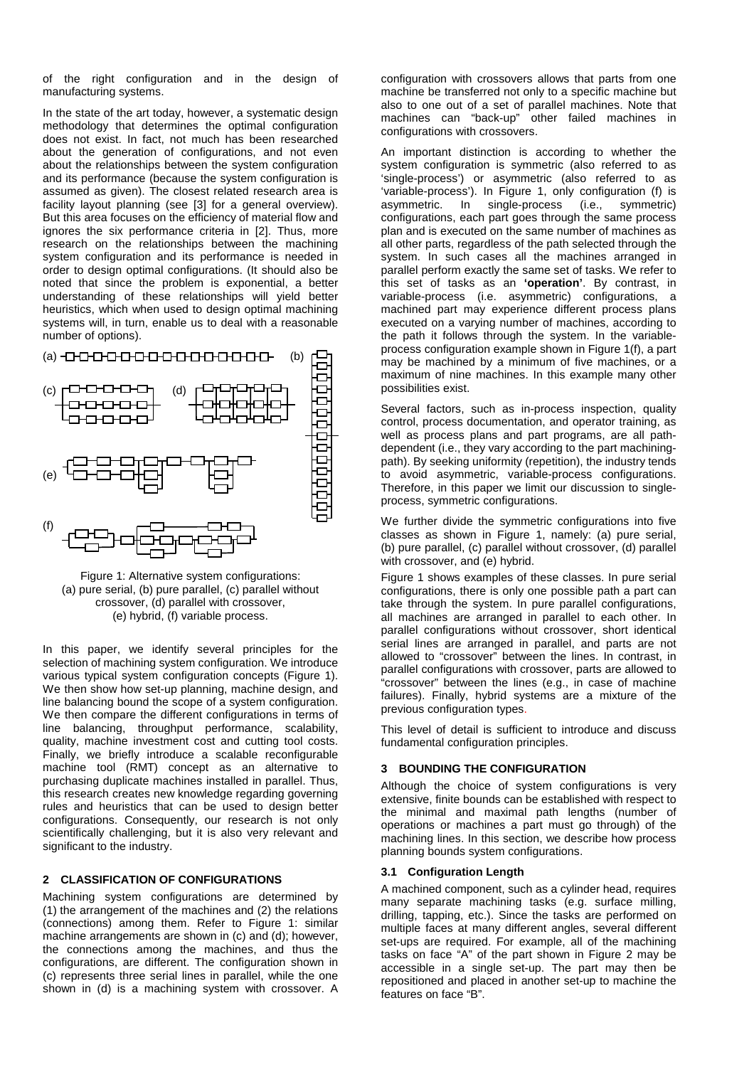of the right configuration and in the design of manufacturing systems.

In the state of the art today, however, a systematic design methodology that determines the optimal configuration does not exist. In fact, not much has been researched about the generation of configurations, and not even about the relationships between the system configuration and its performance (because the system configuration is assumed as given). The closest related research area is facility layout planning (see [3] for a general overview). But this area focuses on the efficiency of material flow and ignores the six performance criteria in [2]. Thus, more research on the relationships between the machining system configuration and its performance is needed in order to design optimal configurations. (It should also be noted that since the problem is exponential, a better understanding of these relationships will yield better heuristics, which when used to design optimal machining systems will, in turn, enable us to deal with a reasonable number of options).



Figure 1: Alternative system configurations: (a) pure serial, (b) pure parallel, (c) parallel without crossover, (d) parallel with crossover, (e) hybrid, (f) variable process.

In this paper, we identify several principles for the selection of machining system configuration. We introduce various typical system configuration concepts (Figure 1). We then show how set-up planning, machine design, and line balancing bound the scope of a system configuration. We then compare the different configurations in terms of line balancing, throughput performance, scalability, quality, machine investment cost and cutting tool costs. Finally, we briefly introduce a scalable reconfigurable machine tool (RMT) concept as an alternative to purchasing duplicate machines installed in parallel. Thus, this research creates new knowledge regarding governing rules and heuristics that can be used to design better configurations. Consequently, our research is not only scientifically challenging, but it is also very relevant and significant to the industry.

## **2 CLASSIFICATION OF CONFIGURATIONS**

Machining system configurations are determined by (1) the arrangement of the machines and (2) the relations (connections) among them. Refer to Figure 1: similar machine arrangements are shown in (c) and (d); however, the connections among the machines, and thus the configurations, are different. The configuration shown in (c) represents three serial lines in parallel, while the one shown in (d) is a machining system with crossover. A

configuration with crossovers allows that parts from one machine be transferred not only to a specific machine but also to one out of a set of parallel machines. Note that machines can "back-up" other failed machines in configurations with crossovers.

An important distinction is according to whether the system configuration is symmetric (also referred to as 'single-process') or asymmetric (also referred to as 'variable-process'). In Figure 1, only configuration (f) is asymmetric. In single-process (i.e., symmetric) configurations, each part goes through the same process plan and is executed on the same number of machines as all other parts, regardless of the path selected through the system. In such cases all the machines arranged in parallel perform exactly the same set of tasks. We refer to this set of tasks as an **'operation'**. By contrast, in variable-process (i.e. asymmetric) configurations, a machined part may experience different process plans executed on a varying number of machines, according to the path it follows through the system. In the variableprocess configuration example shown in Figure 1(f), a part may be machined by a minimum of five machines, or a maximum of nine machines. In this example many other possibilities exist.

Several factors, such as in-process inspection, quality control, process documentation, and operator training, as well as process plans and part programs, are all pathdependent (i.e., they vary according to the part machiningpath). By seeking uniformity (repetition), the industry tends to avoid asymmetric, variable-process configurations. Therefore, in this paper we limit our discussion to singleprocess, symmetric configurations.

We further divide the symmetric configurations into five classes as shown in Figure 1, namely: (a) pure serial, (b) pure parallel, (c) parallel without crossover, (d) parallel with crossover, and (e) hybrid.

Figure 1 shows examples of these classes. In pure serial configurations, there is only one possible path a part can take through the system. In pure parallel configurations, all machines are arranged in parallel to each other. In parallel configurations without crossover, short identical serial lines are arranged in parallel, and parts are not allowed to "crossover" between the lines. In contrast, in parallel configurations with crossover, parts are allowed to "crossover" between the lines (e.g., in case of machine failures). Finally, hybrid systems are a mixture of the previous configuration types.

This level of detail is sufficient to introduce and discuss fundamental configuration principles.

## **3 BOUNDING THE CONFIGURATION**

Although the choice of system configurations is very extensive, finite bounds can be established with respect to the minimal and maximal path lengths (number of operations or machines a part must go through) of the machining lines. In this section, we describe how process planning bounds system configurations.

## **3.1 Configuration Length**

A machined component, such as a cylinder head, requires many separate machining tasks (e.g. surface milling, drilling, tapping, etc.). Since the tasks are performed on multiple faces at many different angles, several different set-ups are required. For example, all of the machining tasks on face "A" of the part shown in Figure 2 may be accessible in a single set-up. The part may then be repositioned and placed in another set-up to machine the features on face "B".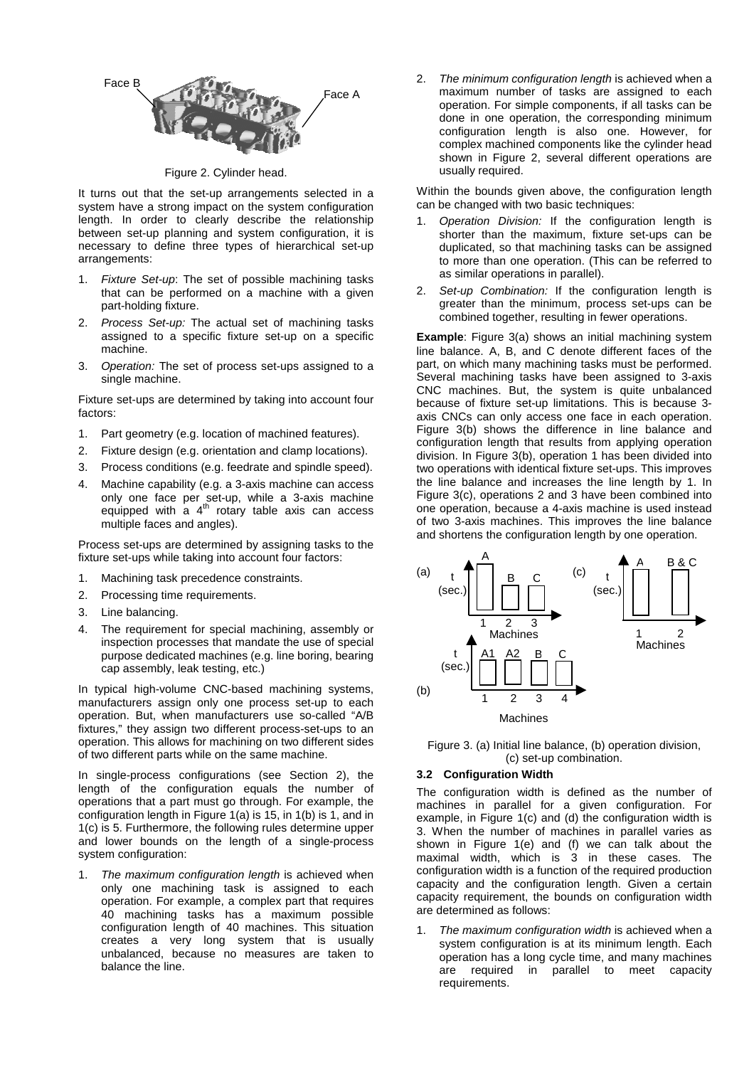

Figure 2. Cylinder head.

It turns out that the set-up arrangements selected in a system have a strong impact on the system configuration length. In order to clearly describe the relationship between set-up planning and system configuration, it is necessary to define three types of hierarchical set-up arrangements:

- 1. Fixture Set-up: The set of possible machining tasks that can be performed on a machine with a given part-holding fixture.
- 2. Process Set-up: The actual set of machining tasks assigned to a specific fixture set-up on a specific machine.
- 3. Operation: The set of process set-ups assigned to a single machine.

Fixture set-ups are determined by taking into account four factors:

- 1. Part geometry (e.g. location of machined features).
- 2. Fixture design (e.g. orientation and clamp locations).
- 3. Process conditions (e.g. feedrate and spindle speed).
- 4. Machine capability (e.g. a 3-axis machine can access only one face per set-up, while a 3-axis machine equipped with a  $4<sup>th</sup>$  rotary table axis can access multiple faces and angles).

Process set-ups are determined by assigning tasks to the fixture set-ups while taking into account four factors:

- 1. Machining task precedence constraints.
- 2. Processing time requirements.
- 3. Line balancing.
- 4. The requirement for special machining, assembly or inspection processes that mandate the use of special purpose dedicated machines (e.g. line boring, bearing cap assembly, leak testing, etc.)

In typical high-volume CNC-based machining systems, manufacturers assign only one process set-up to each operation. But, when manufacturers use so-called "A/B fixtures," they assign two different process-set-ups to an operation. This allows for machining on two different sides of two different parts while on the same machine.

In single-process configurations (see Section 2), the length of the configuration equals the number of operations that a part must go through. For example, the configuration length in Figure 1(a) is 15, in 1(b) is 1, and in 1(c) is 5. Furthermore, the following rules determine upper and lower bounds on the length of a single-process system configuration:

The maximum configuration length is achieved when only one machining task is assigned to each operation. For example, a complex part that requires 40 machining tasks has a maximum possible configuration length of 40 machines. This situation creates a very long system that is usually unbalanced, because no measures are taken to balance the line.

2. The minimum configuration length is achieved when a maximum number of tasks are assigned to each operation. For simple components, if all tasks can be done in one operation, the corresponding minimum configuration length is also one. However, for complex machined components like the cylinder head shown in Figure 2, several different operations are usually required.

Within the bounds given above, the configuration length can be changed with two basic techniques:

- 1. Operation Division: If the configuration length is shorter than the maximum, fixture set-ups can be duplicated, so that machining tasks can be assigned to more than one operation. (This can be referred to as similar operations in parallel).
- 2. Set-up Combination: If the configuration length is greater than the minimum, process set-ups can be combined together, resulting in fewer operations.

**Example**: Figure 3(a) shows an initial machining system line balance. A, B, and C denote different faces of the part, on which many machining tasks must be performed. Several machining tasks have been assigned to 3-axis CNC machines. But, the system is quite unbalanced because of fixture set-up limitations. This is because 3 axis CNCs can only access one face in each operation. Figure 3(b) shows the difference in line balance and configuration length that results from applying operation division. In Figure 3(b), operation 1 has been divided into two operations with identical fixture set-ups. This improves the line balance and increases the line length by 1. In Figure 3(c), operations 2 and 3 have been combined into one operation, because a 4-axis machine is used instead of two 3-axis machines. This improves the line balance and shortens the configuration length by one operation.





## **3.2 Configuration Width**

The configuration width is defined as the number of machines in parallel for a given configuration. For example, in Figure 1(c) and (d) the configuration width is 3. When the number of machines in parallel varies as shown in Figure 1(e) and (f) we can talk about the maximal width, which is 3 in these cases. The configuration width is a function of the required production capacity and the configuration length. Given a certain capacity requirement, the bounds on configuration width are determined as follows:

The maximum configuration width is achieved when a system configuration is at its minimum length. Each operation has a long cycle time, and many machines are required in parallel to meet capacity requirements.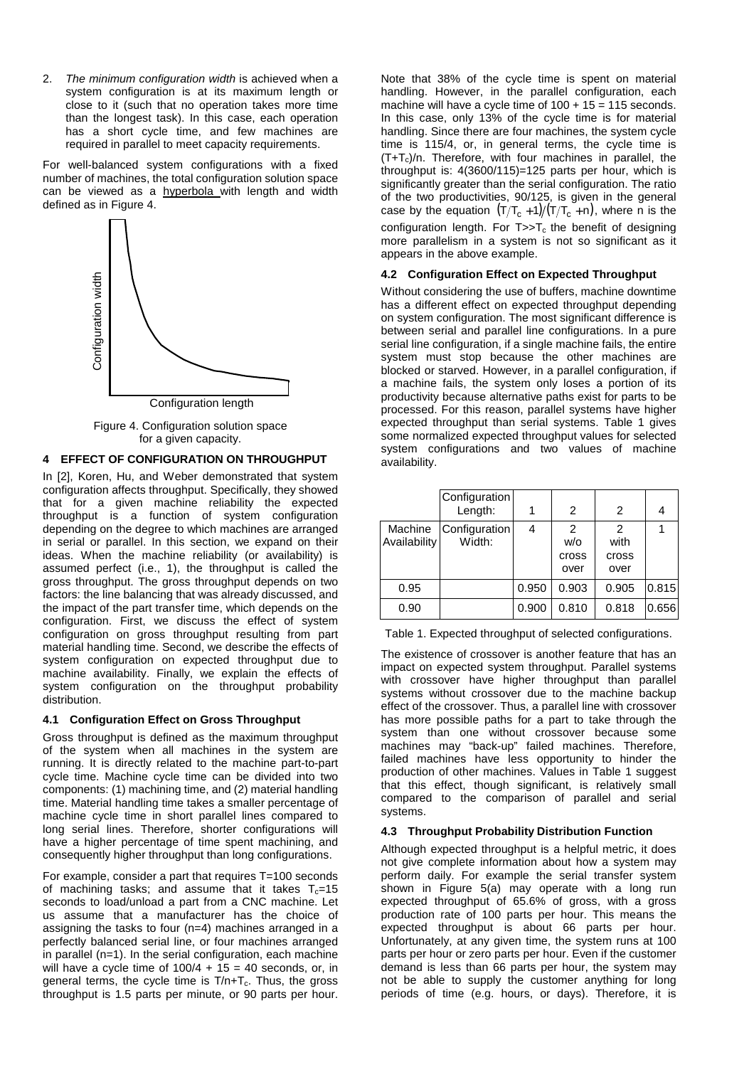2. The minimum configuration width is achieved when a system configuration is at its maximum length or close to it (such that no operation takes more time than the longest task). In this case, each operation has a short cycle time, and few machines are required in parallel to meet capacity requirements.

For well-balanced system configurations with a fixed number of machines, the total configuration solution space can be viewed as a hyperbola with length and width defined as in Figure 4.



Figure 4. Configuration solution space for a given capacity.

## **4 EFFECT OF CONFIGURATION ON THROUGHPUT**

In [2], Koren, Hu, and Weber demonstrated that system configuration affects throughput. Specifically, they showed that for a given machine reliability the expected throughput is a function of system configuration depending on the degree to which machines are arranged in serial or parallel. In this section, we expand on their ideas. When the machine reliability (or availability) is assumed perfect (i.e., 1), the throughput is called the gross throughput. The gross throughput depends on two factors: the line balancing that was already discussed, and the impact of the part transfer time, which depends on the configuration. First, we discuss the effect of system configuration on gross throughput resulting from part material handling time. Second, we describe the effects of system configuration on expected throughput due to machine availability. Finally, we explain the effects of system configuration on the throughput probability distribution.

## **4.1 Configuration Effect on Gross Throughput**

Gross throughput is defined as the maximum throughput of the system when all machines in the system are running. It is directly related to the machine part-to-part cycle time. Machine cycle time can be divided into two components: (1) machining time, and (2) material handling time. Material handling time takes a smaller percentage of machine cycle time in short parallel lines compared to long serial lines. Therefore, shorter configurations will have a higher percentage of time spent machining, and consequently higher throughput than long configurations.

For example, consider a part that requires T=100 seconds of machining tasks; and assume that it takes  $T_c=15$ seconds to load/unload a part from a CNC machine. Let us assume that a manufacturer has the choice of assigning the tasks to four (n=4) machines arranged in a perfectly balanced serial line, or four machines arranged in parallel (n=1). In the serial configuration, each machine will have a cycle time of  $100/4 + 15 = 40$  seconds, or, in general terms, the cycle time is  $T/n+T_c$ . Thus, the gross throughput is 1.5 parts per minute, or 90 parts per hour.

Note that 38% of the cycle time is spent on material handling. However, in the parallel configuration, each machine will have a cycle time of  $100 + 15 = 115$  seconds. In this case, only 13% of the cycle time is for material handling. Since there are four machines, the system cycle time is 115/4, or, in general terms, the cycle time is  $(T+T_c)/n$ . Therefore, with four machines in parallel, the throughput is: 4(3600/115)=125 parts per hour, which is significantly greater than the serial configuration. The ratio of the two productivities, 90/125, is given in the general case by the equation  $(T/T_c + 1)/(T/T_c + n)$ , where n is the configuration length. For  $T >> T_c$  the benefit of designing more parallelism in a system is not so significant as it appears in the above example.

## **4.2 Configuration Effect on Expected Throughput**

Without considering the use of buffers, machine downtime has a different effect on expected throughput depending on system configuration. The most significant difference is between serial and parallel line configurations. In a pure serial line configuration, if a single machine fails, the entire system must stop because the other machines are blocked or starved. However, in a parallel configuration, if a machine fails, the system only loses a portion of its productivity because alternative paths exist for parts to be processed. For this reason, parallel systems have higher expected throughput than serial systems. Table 1 gives some normalized expected throughput values for selected system configurations and two values of machine availability.

|                         | Configuration<br>Length: |       | 2                         | 2                          | 4     |
|-------------------------|--------------------------|-------|---------------------------|----------------------------|-------|
| Machine<br>Availability | Configuration<br>Width:  | 4     | 2<br>W/O<br>cross<br>over | 2<br>with<br>cross<br>over |       |
| 0.95                    |                          | 0.950 | 0.903                     | 0.905                      | 0.815 |
| 0.90                    |                          | 0.900 | 0.810                     | 0.818                      | 0.656 |

Table 1. Expected throughput of selected configurations.

The existence of crossover is another feature that has an impact on expected system throughput. Parallel systems with crossover have higher throughput than parallel systems without crossover due to the machine backup effect of the crossover. Thus, a parallel line with crossover has more possible paths for a part to take through the system than one without crossover because some machines may "back-up" failed machines. Therefore, failed machines have less opportunity to hinder the production of other machines. Values in Table 1 suggest that this effect, though significant, is relatively small compared to the comparison of parallel and serial systems.

## **4.3 Throughput Probability Distribution Function**

Although expected throughput is a helpful metric, it does not give complete information about how a system may perform daily. For example the serial transfer system shown in Figure 5(a) may operate with a long run expected throughput of 65.6% of gross, with a gross production rate of 100 parts per hour. This means the expected throughput is about 66 parts per hour. Unfortunately, at any given time, the system runs at 100 parts per hour or zero parts per hour. Even if the customer demand is less than 66 parts per hour, the system may not be able to supply the customer anything for long periods of time (e.g. hours, or days). Therefore, it is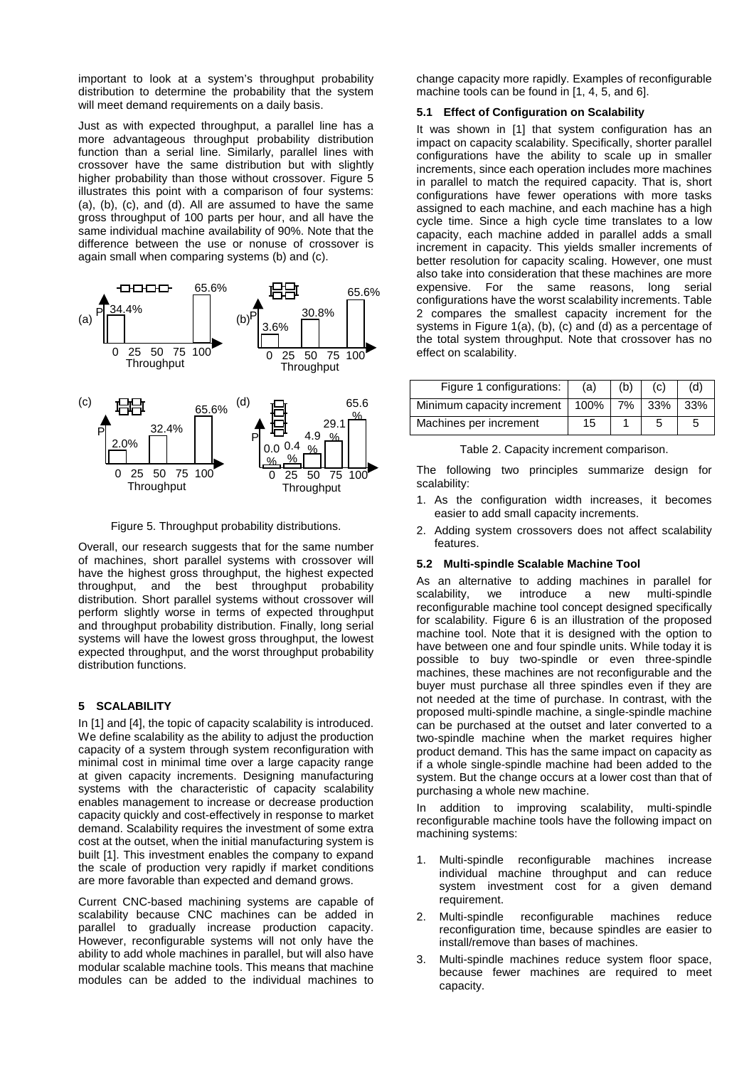important to look at a system's throughput probability distribution to determine the probability that the system will meet demand requirements on a daily basis.

Just as with expected throughput, a parallel line has a more advantageous throughput probability distribution function than a serial line. Similarly, parallel lines with crossover have the same distribution but with slightly higher probability than those without crossover. Figure 5 illustrates this point with a comparison of four systems: (a), (b), (c), and (d). All are assumed to have the same gross throughput of 100 parts per hour, and all have the same individual machine availability of 90%. Note that the difference between the use or nonuse of crossover is again small when comparing systems (b) and (c).



Figure 5. Throughput probability distributions.

Overall, our research suggests that for the same number of machines, short parallel systems with crossover will have the highest gross throughput, the highest expected throughput, and the best throughput probability distribution. Short parallel systems without crossover will perform slightly worse in terms of expected throughput and throughput probability distribution. Finally, long serial systems will have the lowest gross throughput, the lowest expected throughput, and the worst throughput probability distribution functions.

## **5 SCALABILITY**

In [1] and [4], the topic of capacity scalability is introduced. We define scalability as the ability to adjust the production capacity of a system through system reconfiguration with minimal cost in minimal time over a large capacity range at given capacity increments. Designing manufacturing systems with the characteristic of capacity scalability enables management to increase or decrease production capacity quickly and cost-effectively in response to market demand. Scalability requires the investment of some extra cost at the outset, when the initial manufacturing system is built [1]. This investment enables the company to expand the scale of production very rapidly if market conditions are more favorable than expected and demand grows.

Current CNC-based machining systems are capable of scalability because CNC machines can be added in parallel to gradually increase production capacity. However, reconfigurable systems will not only have the ability to add whole machines in parallel, but will also have modular scalable machine tools. This means that machine modules can be added to the individual machines to

change capacity more rapidly. Examples of reconfigurable machine tools can be found in [1, 4, 5, and 6].

## **5.1 Effect of Configuration on Scalability**

It was shown in [1] that system configuration has an impact on capacity scalability. Specifically, shorter parallel configurations have the ability to scale up in smaller increments, since each operation includes more machines in parallel to match the required capacity. That is, short configurations have fewer operations with more tasks assigned to each machine, and each machine has a high cycle time. Since a high cycle time translates to a low capacity, each machine added in parallel adds a small increment in capacity. This yields smaller increments of better resolution for capacity scaling. However, one must also take into consideration that these machines are more expensive. For the same reasons, long serial configurations have the worst scalability increments. Table 2 compares the smallest capacity increment for the systems in Figure 1(a), (b), (c) and (d) as a percentage of the total system throughput. Note that crossover has no effect on scalability.

| Figure 1 configurations:                     | (a) | (b) | (c) | (d) |
|----------------------------------------------|-----|-----|-----|-----|
| Minimum capacity increment   100%   7%   33% |     |     |     | 33% |
| Machines per increment                       | 15  |     |     | :   |

Table 2. Capacity increment comparison.

The following two principles summarize design for scalability:

- 1. As the configuration width increases, it becomes easier to add small capacity increments.
- 2. Adding system crossovers does not affect scalability features.

#### **5.2 Multi-spindle Scalable Machine Tool**

As an alternative to adding machines in parallel for scalability, we introduce a new multi-spindle reconfigurable machine tool concept designed specifically for scalability. Figure 6 is an illustration of the proposed machine tool. Note that it is designed with the option to have between one and four spindle units. While today it is possible to buy two-spindle or even three-spindle machines, these machines are not reconfigurable and the buyer must purchase all three spindles even if they are not needed at the time of purchase. In contrast, with the proposed multi-spindle machine, a single-spindle machine can be purchased at the outset and later converted to a two-spindle machine when the market requires higher product demand. This has the same impact on capacity as if a whole single-spindle machine had been added to the system. But the change occurs at a lower cost than that of purchasing a whole new machine.

In addition to improving scalability, multi-spindle reconfigurable machine tools have the following impact on machining systems:

- 1. Multi-spindle reconfigurable machines increase individual machine throughput and can reduce system investment cost for a given demand requirement.
- 2. Multi-spindle reconfigurable machines reduce reconfiguration time, because spindles are easier to install/remove than bases of machines.
- 3. Multi-spindle machines reduce system floor space, because fewer machines are required to meet capacity.